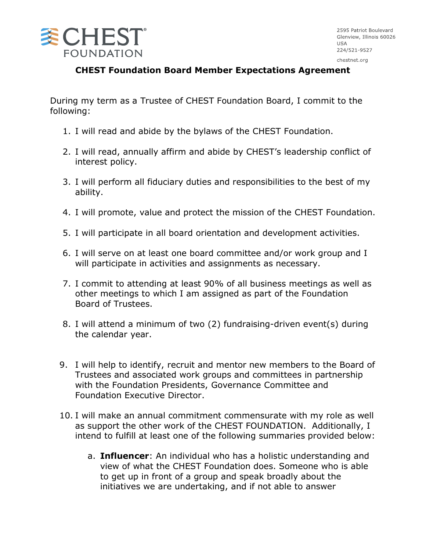

## **CHEST Foundation Board Member Expectations Agreement**

During my term as a Trustee of CHEST Foundation Board, I commit to the following:

- 1. I will read and abide by the bylaws of the CHEST Foundation.
- 2. I will read, annually affirm and abide by CHEST's leadership conflict of interest policy.
- 3. I will perform all fiduciary duties and responsibilities to the best of my ability.
- 4. I will promote, value and protect the mission of the CHEST Foundation.
- 5. I will participate in all board orientation and development activities.
- 6. I will serve on at least one board committee and/or work group and I will participate in activities and assignments as necessary.
- 7. I commit to attending at least 90% of all business meetings as well as other meetings to which I am assigned as part of the Foundation Board of Trustees.
- 8. I will attend a minimum of two (2) fundraising-driven event(s) during the calendar year.
- 9. I will help to identify, recruit and mentor new members to the Board of Trustees and associated work groups and committees in partnership with the Foundation Presidents, Governance Committee and Foundation Executive Director.
- 10. I will make an annual commitment commensurate with my role as well as support the other work of the CHEST FOUNDATION. Additionally, I intend to fulfill at least one of the following summaries provided below:
	- a. **Influencer**: An individual who has a holistic understanding and view of what the CHEST Foundation does. Someone who is able to get up in front of a group and speak broadly about the initiatives we are undertaking, and if not able to answer